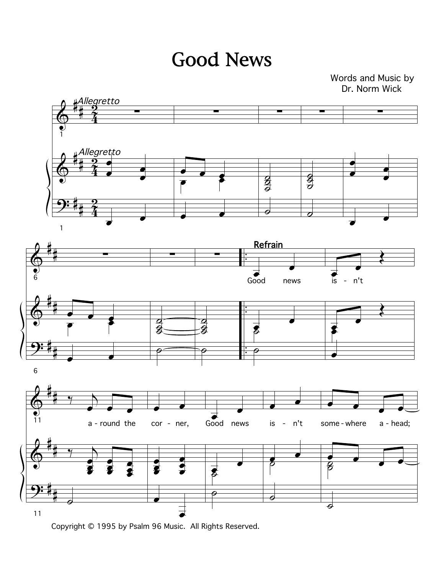Good News

Dr. Norm Wick Words and Music by



Copyright © 1995 by Psalm 96 Music. All Rights Reserved.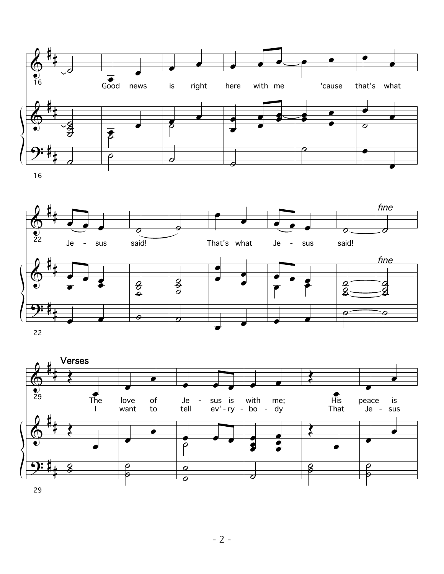



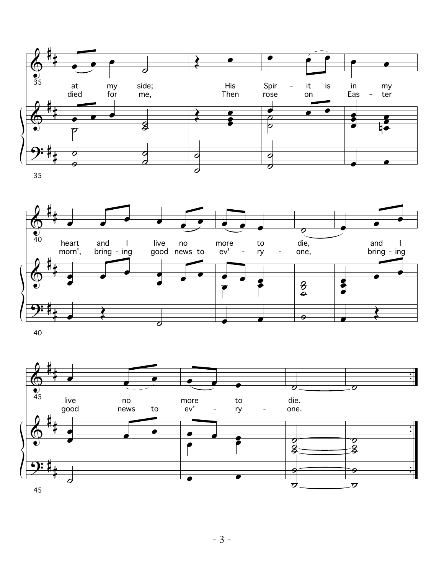





- 3 -